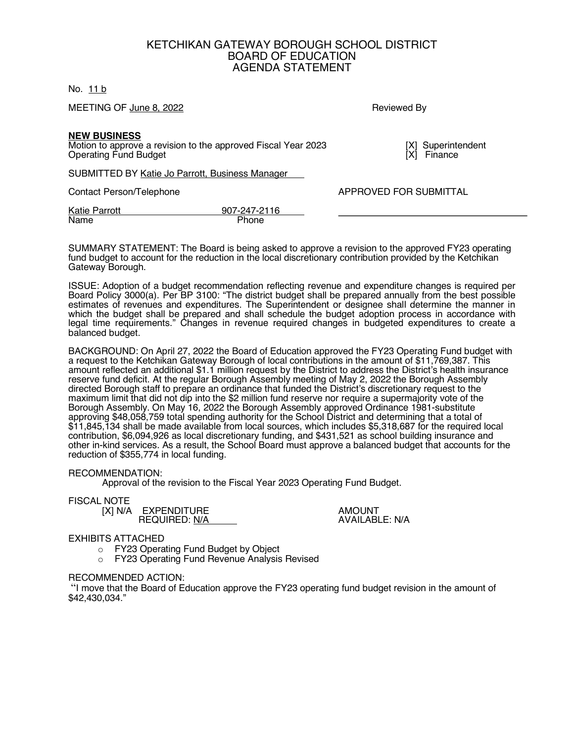## KETCHIKAN GATEWAY BOROUGH SCHOOL DISTRICT BOARD OF EDUCATION AGENDA STATEMENT

No. 11 b

MEETING OF June 8, 2022 **Reviewed By Reviewed By** 

**NEW BUSINESS**

Motion to approve a revision to the approved Fiscal Year 2023 [X] Superintendent (X) Superintendent Operating Fund Budget Operating Fund Budget

SUBMITTED BY Katie Jo Parrott, Business Manager

Contact Person/Telephone APPROVED FOR SUBMITTAL

Katie Parrott 907-247-2116<br>Name Phone Phone

SUMMARY STATEMENT: The Board is being asked to approve a revision to the approved FY23 operating fund budget to account for the reduction in the local discretionary contribution provided by the Ketchikan Gateway Borough.

ISSUE: Adoption of a budget recommendation reflecting revenue and expenditure changes is required per Board Policy 3000(a). Per BP 3100: "The district budget shall be prepared annually from the best possible estimates of revenues and expenditures. The Superintendent or designee shall determine the manner in which the budget shall be prepared and shall schedule the budget adoption process in accordance with legal time requirements." Changes in revenue required changes in budgeted expenditures to create a balanced budget.

BACKGROUND: On April 27, 2022 the Board of Education approved the FY23 Operating Fund budget with a request to the Ketchikan Gateway Borough of local contributions in the amount of \$11,769,387. This amount reflected an additional \$1.1 million request by the District to address the District's health insurance reserve fund deficit. At the regular Borough Assembly meeting of May 2, 2022 the Borough Assembly directed Borough staff to prepare an ordinance that funded the District's discretionary request to the maximum limit that did not dip into the \$2 million fund reserve nor require a supermajority vote of the Borough Assembly. On May 16, 2022 the Borough Assembly approved Ordinance 1981-substitute approving \$48,058,759 total spending authority for the School District and determining that a total of  $$11,845,134$  shall be made available from local sources, which includes \$5,318,687 for the required local contribution, \$6,094,926 as local discretionary funding, and \$431,521 as school building insurance and other in-kind services. As a result, the School Board must approve a balanced budget that accounts for the reduction of \$355,774 in local funding.

## RECOMMENDATION:

Approval of the revision to the Fiscal Year 2023 Operating Fund Budget.

FISCAL NOTE

| . | [X] N/A EXPENDITURE<br><b>REQUIRED: N/A</b> | <b>AMOUNT</b><br>AVAILABLE: N/A |
|---|---------------------------------------------|---------------------------------|
|   |                                             |                                 |

## EXHIBITS ATTACHED

- o FY23 Operating Fund Budget by Object
- o FY23 Operating Fund Revenue Analysis Revised

## RECOMMENDED ACTION:

"I move that the Board of Education approve the FY23 operating fund budget revision in the amount of \$42,430,034."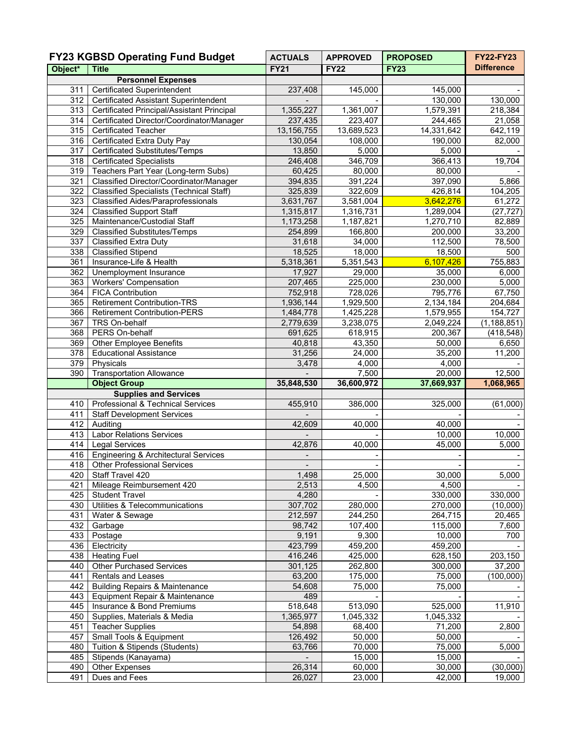| <b>FY23 KGBSD Operating Fund Budget</b> |                                                      | <b>ACTUALS</b>           | <b>APPROVED</b>  | <b>PROPOSED</b>  | <b>FY22-FY23</b>   |  |
|-----------------------------------------|------------------------------------------------------|--------------------------|------------------|------------------|--------------------|--|
| Object*                                 | <b>Title</b>                                         | <b>FY21</b>              | <b>FY22</b>      | <b>FY23</b>      | <b>Difference</b>  |  |
| <b>Personnel Expenses</b>               |                                                      |                          |                  |                  |                    |  |
| 311                                     | <b>Certificated Superintendent</b>                   | 237,408                  | 145,000          | 145,000          |                    |  |
| $\overline{312}$                        | <b>Certificated Assistant Superintendent</b>         | $\blacksquare$           |                  | 130,000          | 130,000            |  |
| 313                                     | Certificated Principal/Assistant Principal           | 1,355,227                | 1,361,007        | 1,579,391        | 218,384            |  |
| 314                                     | Certificated Director/Coordinator/Manager            | 237,435                  | 223,407          | 244,465          | 21,058             |  |
| 315                                     | <b>Certificated Teacher</b>                          | 13, 156, 755             | 13,689,523       | 14,331,642       | 642,119            |  |
| 316                                     | Certificated Extra Duty Pay                          | 130,054                  | 108,000          | 190,000          | 82,000             |  |
| 317                                     | <b>Certificated Substitutes/Temps</b>                | 13,850                   | 5,000            | 5,000            |                    |  |
| 318                                     | <b>Certificated Specialists</b>                      | 246,408                  | 346,709          | 366,413          | 19,704             |  |
| 319                                     | Teachers Part Year (Long-term Subs)                  | 60,425                   | 80,000           | 80,000           |                    |  |
| 321                                     | Classified Director/Coordinator/Manager              | 394,835                  | 391,224          | 397,090          | 5,866              |  |
| 322                                     | <b>Classified Specialists (Technical Staff)</b>      | 325,839                  | 322,609          | 426,814          | 104,205            |  |
| 323                                     | <b>Classified Aides/Paraprofessionals</b>            | 3,631,767                | 3,581,004        | 3,642,276        | 61,272             |  |
| 324                                     | <b>Classified Support Staff</b>                      | 1,315,817                | 1,316,731        | 1,289,004        | (27, 727)          |  |
| 325                                     | Maintenance/Custodial Staff                          | 1,173,258                | 1,187,821        | 1,270,710        | 82,889             |  |
| 329                                     | <b>Classified Substitutes/Temps</b>                  | 254,899                  | 166,800          | 200,000          | 33,200             |  |
| 337                                     | Classified Extra Duty                                | 31,618                   | 34,000           | 112,500          | 78,500             |  |
| 338                                     | <b>Classified Stipend</b>                            | 18,525                   | 18,000           | 18,500           | 500                |  |
| 361                                     | Insurance-Life & Health                              | 5,318,361                | 5,351,543        | 6,107,426        | 755,883            |  |
| 362                                     | Unemployment Insurance                               | 17,927                   | 29,000           | 35,000           | 6,000              |  |
| 363                                     | <b>Workers' Compensation</b>                         | 207,465                  | 225,000          | 230,000          | 5,000              |  |
| 364                                     | <b>FICA Contribution</b>                             | 752,918                  | 728,026          | 795,776          | 67,750             |  |
| 365                                     | <b>Retirement Contribution-TRS</b>                   | 1,936,144                | 1,929,500        | 2,134,184        | 204,684            |  |
| 366                                     | <b>Retirement Contribution-PERS</b>                  | 1,484,778                | 1,425,228        | 1,579,955        | 154,727            |  |
| 367                                     | TRS On-behalf                                        | 2,779,639                | 3,238,075        | 2,049,224        | (1, 188, 851)      |  |
| 368                                     | PERS On-behalf                                       | 691,625                  | 618,915          | 200,367          | (418, 548)         |  |
| 369                                     | <b>Other Employee Benefits</b>                       | 40,818                   | 43,350           | 50,000           | 6,650              |  |
| 378                                     | <b>Educational Assistance</b>                        | 31,256                   | 24,000           | 35,200           | 11,200             |  |
| 379                                     | Physicals                                            | 3,478                    | 4,000            | 4,000            |                    |  |
| 390                                     | <b>Transportation Allowance</b>                      |                          | 7,500            | 20,000           | 12,500             |  |
|                                         | <b>Object Group</b>                                  | 35,848,530               | 36,600,972       | 37,669,937       | 1,068,965          |  |
|                                         | <b>Supplies and Services</b>                         |                          |                  |                  |                    |  |
| 410                                     | Professional & Technical Services                    | 455,910                  | 386,000          | 325,000          | (61,000)           |  |
| 411                                     | <b>Staff Development Services</b>                    |                          |                  |                  |                    |  |
| 412                                     | Auditing                                             | 42,609                   | 40,000           | 40,000           |                    |  |
| 413                                     | <b>Labor Relations Services</b>                      |                          |                  | 10,000           | 10,000             |  |
| 414                                     | <b>Legal Services</b>                                | 42,876                   | 40,000           | 45,000           | 5,000              |  |
| 416                                     | Engineering & Architectural Services                 |                          |                  |                  |                    |  |
| 418                                     | <b>Other Professional Services</b>                   | $\overline{\phantom{a}}$ |                  |                  |                    |  |
| 420                                     | Staff Travel 420                                     | 1,498                    | 25,000           | 30,000           | 5,000              |  |
| 421                                     | Mileage Reimbursement 420                            | 2,513                    | 4,500            | 4,500            |                    |  |
| 425                                     | <b>Student Travel</b>                                | 4,280                    |                  | 330,000          | 330,000            |  |
| 430                                     | Utilities & Telecommunications                       | 307,702                  | 280,000          | 270,000          | (10,000)           |  |
| 431                                     | Water & Sewage                                       | 212,597                  | 244,250          | 264,715          | 20,465             |  |
| 432                                     | Garbage                                              | 98,742                   | 107,400          | 115,000          | 7,600              |  |
| 433                                     | Postage                                              | 9,191                    | 9,300            | 10,000           | 700                |  |
| 436                                     | Electricity                                          | 423,799                  | 459,200          | 459,200          |                    |  |
| 438                                     | <b>Heating Fuel</b>                                  | 416,246                  | 425,000          | 628,150          | 203,150            |  |
| 440                                     | <b>Other Purchased Services</b>                      | 301,125                  | 262,800          | 300,000          | 37,200             |  |
| 441                                     | Rentals and Leases                                   | 63,200                   | 175,000          | 75,000           | (100,000)          |  |
| 442                                     | <b>Building Repairs &amp; Maintenance</b>            | 54,608                   | 75,000           | 75,000           |                    |  |
| 443                                     | Equipment Repair & Maintenance                       | 489                      |                  |                  |                    |  |
| 445                                     | Insurance & Bond Premiums                            | 518,648                  | 513,090          | 525,000          | 11,910             |  |
| 450                                     | Supplies, Materials & Media                          | 1,365,977                | 1,045,332        | 1,045,332        |                    |  |
| 451                                     | <b>Teacher Supplies</b>                              | 54,898                   | 68,400           | 71,200           | $\overline{2,800}$ |  |
| 457                                     | Small Tools & Equipment                              | 126,492                  | 50,000           | 50,000           |                    |  |
| 480<br>485                              | Tuition & Stipends (Students)<br>Stipends (Kanayama) | 63,766                   | 70,000<br>15,000 | 75,000<br>15,000 | 5,000              |  |
| 490                                     | Other Expenses                                       | 26,314                   | 60,000           | 30,000           | (30,000)           |  |
| 491                                     | Dues and Fees                                        | 26,027                   | 23,000           | 42,000           | 19,000             |  |
|                                         |                                                      |                          |                  |                  |                    |  |